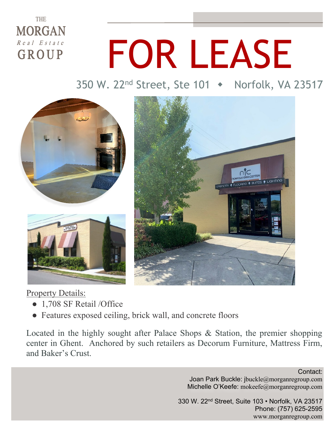### **THE MORGAN**  $\overline{R}$  e a  $I$   $E$  s t a t e GROUP

# FOR LEASE

350 W. 22<sup>nd</sup> Street, Ste 101 → Norfolk, VA 23517



#### Property Details:

- 1,708 SF Retail /Office
- Features exposed ceiling, brick wall, and concrete floors

Located in the highly sought after Palace Shops & Station, the premier shopping center in Ghent. Anchored by such retailers as Decorum Furniture, Mattress Firm, and Baker's Crust.

> Contact: Joan Park Buckle: jbuckle@morganregroup.com Michelle O'Keefe: mokeefe@morganregroup.com

330 W. 22nd Street, Suite 103 • Norfolk, VA 23517 Phone: (757) 625-2595 www.morganregroup.com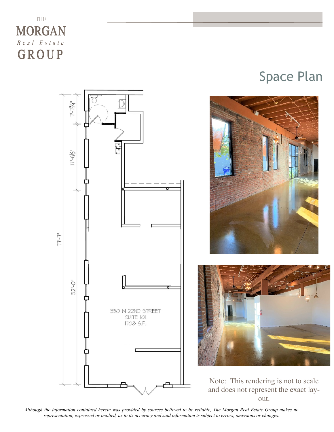### THE **MORGAN**  $R$  e a  $I$  E s t a t e GROUP



## Space Plan





Note: This rendering is not to scale and does not represent the exact layout.

*Although the information contained herein was provided by sources believed to be reliable, The Morgan Real Estate Group makes no representation, expressed or implied, as to its accuracy and said information is subject to errors, omissions or changes.*